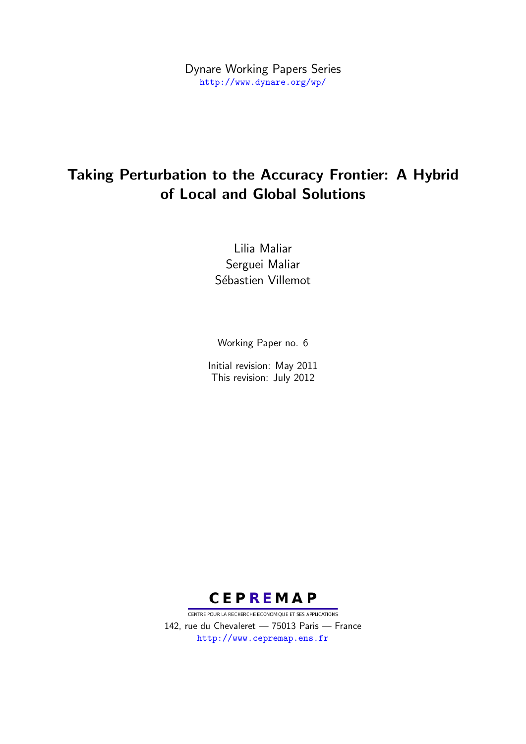Dynare Working Papers Series <http://www.dynare.org/wp/>

# Taking Perturbation to the Accuracy Frontier: A Hybrid of Local and Global Solutions

Lilia Maliar Serguei Maliar Sébastien Villemot

Working Paper no. 6

Initial revision: May 2011 This revision: July 2012



CENTRE POUR LA RECHERCHE ECONOMIQUE ET SES APPLICATIONS 142, rue du Chevaleret — 75013 Paris — France <http://www.cepremap.ens.fr>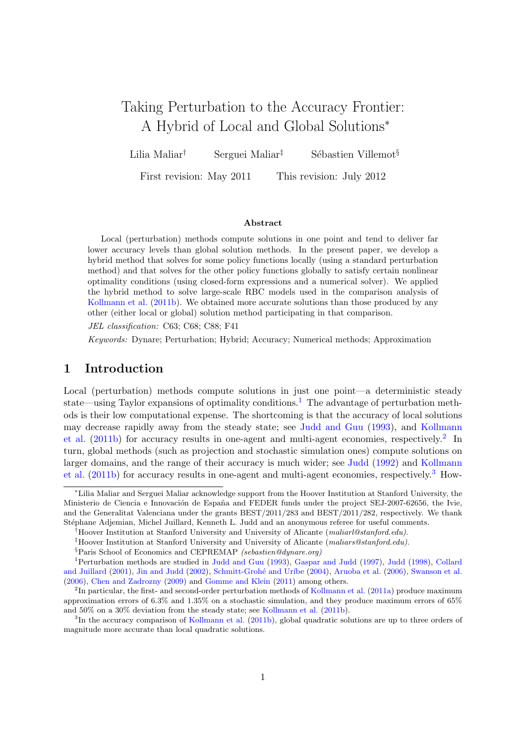# Taking Perturbation to the Accuracy Frontier: A Hybrid of Local and Global Solutions<sup>∗</sup>

Lilia Maliar<sup>†</sup> Serguei Maliar<sup>†</sup> Sébastien Villemot<sup>§</sup>

First revision: May 2011 This revision: July 2012

#### Abstract

Local (perturbation) methods compute solutions in one point and tend to deliver far lower accuracy levels than global solution methods. In the present paper, we develop a hybrid method that solves for some policy functions locally (using a standard perturbation method) and that solves for the other policy functions globally to satisfy certain nonlinear optimality conditions (using closed-form expressions and a numerical solver). We applied the hybrid method to solve large-scale RBC models used in the comparison analysis of [Kollmann et al.](#page-13-0) [\(2011b\)](#page-13-0). We obtained more accurate solutions than those produced by any other (either local or global) solution method participating in that comparison.

JEL classification: C63; C68; C88; F41

Keywords: Dynare; Perturbation; Hybrid; Accuracy; Numerical methods; Approximation

# 1 Introduction

Local (perturbation) methods compute solutions in just one point—a deterministic steady state—using Taylor expansions of optimality conditions.<sup>[1](#page-1-0)</sup> The advantage of perturbation methods is their low computational expense. The shortcoming is that the accuracy of local solutions may decrease rapidly away from the steady state; see [Judd and Guu](#page-13-1) [\(1993\)](#page-13-1), and [Kollmann](#page-13-0) [et al.](#page-13-0)  $(2011b)$  for accuracy results in one-agent and multi-agent economies, respectively.<sup>[2](#page-1-1)</sup> In turn, global methods (such as projection and stochastic simulation ones) compute solutions on larger domains, and the range of their accuracy is much wider; see [Judd](#page-13-2) [\(1992\)](#page-13-2) and [Kollmann](#page-13-0) [et al.](#page-13-0) [\(2011b\)](#page-13-0) for accuracy results in one-agent and multi-agent economies, respectively.[3](#page-1-2) How-

<sup>∗</sup>Lilia Maliar and Serguei Maliar acknowledge support from the Hoover Institution at Stanford University, the Ministerio de Ciencia e Innovación de España and FEDER funds under the project SEJ-2007-62656, the Ivie, and the Generalitat Valenciana under the grants BEST/2011/283 and BEST/2011/282, respectively. We thank Stéphane Adjemian, Michel Juillard, Kenneth L. Judd and an anonymous referee for useful comments.

<sup>&</sup>lt;sup>†</sup>Hoover Institution at Stanford University and University of Alicante (maliarl@stanford.edu).

<sup>&</sup>lt;sup>‡</sup>Hoover Institution at Stanford University and University of Alicante (maliars@stanford.edu).

<span id="page-1-0"></span><sup>&</sup>lt;sup>§</sup>Paris School of Economics and CEPREMAP (sebastien@dynare.org)

<sup>1</sup>Perturbation methods are studied in [Judd and Guu](#page-13-1) [\(1993\)](#page-13-1), [Gaspar and Judd](#page-12-0) [\(1997\)](#page-12-0), [Judd](#page-13-3) [\(1998\)](#page-13-3), [Collard](#page-12-1) [and Juillard](#page-12-1) [\(2001\)](#page-12-1), [Jin and Judd](#page-13-4) [\(2002\)](#page-13-4), Schmitt-Grohé and Uríbe [\(2004\)](#page-13-5), [Aruoba et al.](#page-12-2) [\(2006\)](#page-12-2), [Swanson et al.](#page-14-0) [\(2006\)](#page-14-0), [Chen and Zadrozny](#page-12-3) [\(2009\)](#page-12-3) and [Gomme and Klein](#page-12-4) [\(2011\)](#page-12-4) among others.

<span id="page-1-1"></span><sup>&</sup>lt;sup>2</sup>In particular, the first- and second-order perturbation methods of [Kollmann et al.](#page-13-6) [\(2011a\)](#page-13-6) produce maximum approximation errors of 6.3% and 1.35% on a stochastic simulation, and they produce maximum errors of 65% and 50% on a 30% deviation from the steady state; see [Kollmann et al.](#page-13-0) [\(2011b\)](#page-13-0).

<span id="page-1-2"></span><sup>&</sup>lt;sup>3</sup>In the accuracy comparison of [Kollmann et al.](#page-13-0) [\(2011b\)](#page-13-0), global quadratic solutions are up to three orders of magnitude more accurate than local quadratic solutions.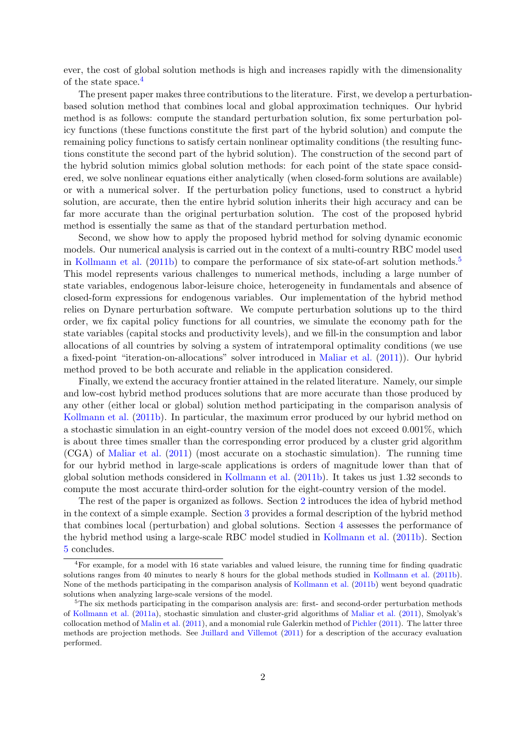ever, the cost of global solution methods is high and increases rapidly with the dimensionality of the state space.[4](#page-2-0)

The present paper makes three contributions to the literature. First, we develop a perturbationbased solution method that combines local and global approximation techniques. Our hybrid method is as follows: compute the standard perturbation solution, fix some perturbation policy functions (these functions constitute the first part of the hybrid solution) and compute the remaining policy functions to satisfy certain nonlinear optimality conditions (the resulting functions constitute the second part of the hybrid solution). The construction of the second part of the hybrid solution mimics global solution methods: for each point of the state space considered, we solve nonlinear equations either analytically (when closed-form solutions are available) or with a numerical solver. If the perturbation policy functions, used to construct a hybrid solution, are accurate, then the entire hybrid solution inherits their high accuracy and can be far more accurate than the original perturbation solution. The cost of the proposed hybrid method is essentially the same as that of the standard perturbation method.

Second, we show how to apply the proposed hybrid method for solving dynamic economic models. Our numerical analysis is carried out in the context of a multi-country RBC model used in [Kollmann et al.](#page-13-0) [\(2011b\)](#page-13-0) to compare the performance of six state-of-art solution methods.<sup>[5](#page-2-1)</sup> This model represents various challenges to numerical methods, including a large number of state variables, endogenous labor-leisure choice, heterogeneity in fundamentals and absence of closed-form expressions for endogenous variables. Our implementation of the hybrid method relies on Dynare perturbation software. We compute perturbation solutions up to the third order, we fix capital policy functions for all countries, we simulate the economy path for the state variables (capital stocks and productivity levels), and we fill-in the consumption and labor allocations of all countries by solving a system of intratemporal optimality conditions (we use a fixed-point "iteration-on-allocations" solver introduced in [Maliar et al.](#page-13-7) [\(2011\)](#page-13-7)). Our hybrid method proved to be both accurate and reliable in the application considered.

Finally, we extend the accuracy frontier attained in the related literature. Namely, our simple and low-cost hybrid method produces solutions that are more accurate than those produced by any other (either local or global) solution method participating in the comparison analysis of [Kollmann et al.](#page-13-0) [\(2011b\)](#page-13-0). In particular, the maximum error produced by our hybrid method on a stochastic simulation in an eight-country version of the model does not exceed 0.001%, which is about three times smaller than the corresponding error produced by a cluster grid algorithm (CGA) of [Maliar et al.](#page-13-7) [\(2011\)](#page-13-7) (most accurate on a stochastic simulation). The running time for our hybrid method in large-scale applications is orders of magnitude lower than that of global solution methods considered in [Kollmann et al.](#page-13-0) [\(2011b\)](#page-13-0). It takes us just 1.32 seconds to compute the most accurate third-order solution for the eight-country version of the model.

The rest of the paper is organized as follows. Section [2](#page-3-0) introduces the idea of hybrid method in the context of a simple example. Section [3](#page-4-0) provides a formal description of the hybrid method that combines local (perturbation) and global solutions. Section [4](#page-6-0) assesses the performance of the hybrid method using a large-scale RBC model studied in [Kollmann et al.](#page-13-0) [\(2011b\)](#page-13-0). Section [5](#page-12-5) concludes.

<span id="page-2-0"></span><sup>4</sup>For example, for a model with 16 state variables and valued leisure, the running time for finding quadratic solutions ranges from 40 minutes to nearly 8 hours for the global methods studied in [Kollmann et al.](#page-13-0) [\(2011b\)](#page-13-0). None of the methods participating in the comparison analysis of [Kollmann et al.](#page-13-0) [\(2011b\)](#page-13-0) went beyond quadratic solutions when analyzing large-scale versions of the model.

<span id="page-2-1"></span><sup>&</sup>lt;sup>5</sup>The six methods participating in the comparison analysis are: first- and second-order perturbation methods of [Kollmann et al.](#page-13-6) [\(2011a\)](#page-13-6), stochastic simulation and cluster-grid algorithms of [Maliar et al.](#page-13-7) [\(2011\)](#page-13-7), Smolyak's collocation method of [Malin et al.](#page-13-8) [\(2011\)](#page-13-8), and a monomial rule Galerkin method of [Pichler](#page-13-9) [\(2011\)](#page-13-9). The latter three methods are projection methods. See [Juillard and Villemot](#page-13-10) [\(2011\)](#page-13-10) for a description of the accuracy evaluation performed.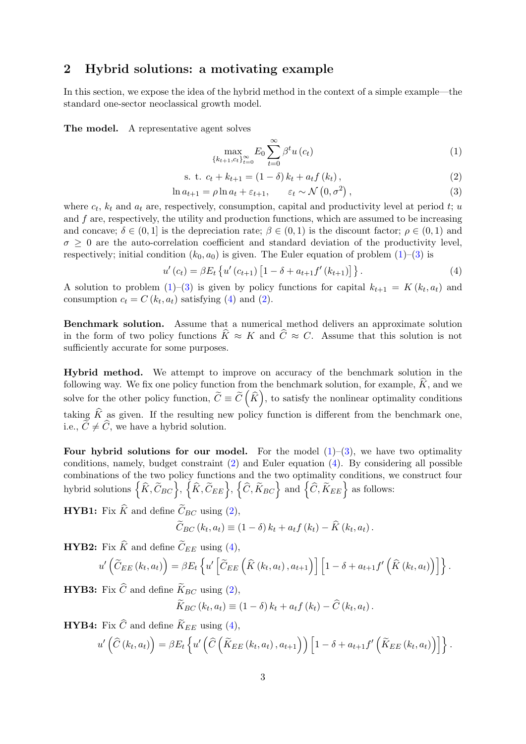# <span id="page-3-0"></span>2 Hybrid solutions: a motivating example

In this section, we expose the idea of the hybrid method in the context of a simple example—the standard one-sector neoclassical growth model.

The model. A representative agent solves

<span id="page-3-1"></span>
$$
\max_{\{k_{t+1}, c_t\}_{t=0}^{\infty}} E_0 \sum_{t=0}^{\infty} \beta^t u(c_t)
$$
 (1)

<span id="page-3-4"></span>s. t. 
$$
c_t + k_{t+1} = (1 - \delta) k_t + a_t f(k_t),
$$
 (2)

<span id="page-3-2"></span>
$$
\ln a_{t+1} = \rho \ln a_t + \varepsilon_{t+1}, \qquad \varepsilon_t \sim \mathcal{N}\left(0, \sigma^2\right), \tag{3}
$$

where  $c_t$ ,  $k_t$  and  $a_t$  are, respectively, consumption, capital and productivity level at period t; u and  $f$  are, respectively, the utility and production functions, which are assumed to be increasing and concave;  $\delta \in (0,1]$  is the depreciation rate;  $\beta \in (0,1)$  is the discount factor;  $\rho \in (0,1)$  and  $\sigma > 0$  are the auto-correlation coefficient and standard deviation of the productivity level, respectively; initial condition  $(k_0, a_0)$  is given. The Euler equation of problem  $(1)$ – $(3)$  is

<span id="page-3-3"></span>
$$
u'(c_t) = \beta E_t \left\{ u'(c_{t+1}) \left[ 1 - \delta + a_{t+1} f'(k_{t+1}) \right] \right\}.
$$
 (4)

A solution to problem  $(1)$ – $(3)$  is given by policy functions for capital  $k_{t+1} = K(k_t, a_t)$  and consumption  $c_t = C(k_t, a_t)$  satisfying [\(4\)](#page-3-3) and [\(2\)](#page-3-4).

Benchmark solution. Assume that a numerical method delivers an approximate solution in the form of two policy functions  $\widehat{K} \approx K$  and  $\widehat{C} \approx C$ . Assume that this solution is not sufficiently accurate for some purposes.

Hybrid method. We attempt to improve on accuracy of the benchmark solution in the following way. We fix one policy function from the benchmark solution, for example,  $\hat{K}$ , and we solve for the other policy function,  $\widetilde{C} \equiv \widetilde{C}(\widehat{K}),$  to satisfy the nonlinear optimality conditions taking  $\widehat{K}$  as given. If the resulting new policy function is different from the benchmark one, i.e.,  $\widetilde{C} \neq \widehat{C}$ , we have a hybrid solution.

Four hybrid solutions for our model. For the model  $(1)-(3)$  $(1)-(3)$  $(1)-(3)$ , we have two optimality conditions, namely, budget constraint [\(2\)](#page-3-4) and Euler equation [\(4\)](#page-3-3). By considering all possible combinations of the two policy functions and the two optimality conditions, we construct four hybrid solutions  $\left\{\widehat{K}, \widetilde{C}_{BC}\right\}, \left\{\widehat{K}, \widetilde{C}_{EE}\right\}, \left\{\widehat{C}, \widetilde{K}_{BC}\right\}$  and  $\left\{\widehat{C}, \widetilde{K}_{EE}\right\}$  as follows:

**HYB1:** Fix  $\widehat{K}$  and define  $\widetilde{C}_{BC}$  using [\(2\)](#page-3-4),

$$
\widetilde{C}_{BC}(k_t, a_t) \equiv (1 - \delta) k_t + a_t f(k_t) - \widehat{K}(k_t, a_t).
$$

**HYB2:** Fix  $\hat{K}$  and define  $\tilde{C}_{EE}$  using [\(4\)](#page-3-3),

$$
u'\left(\widetilde{C}_{EE}\left(k_t,a_t\right)\right)=\beta E_t\left\{u'\left[\widetilde{C}_{EE}\left(\widehat{K}\left(k_t,a_t\right),a_{t+1}\right)\right]\left[1-\delta+a_{t+1}f'\left(\widehat{K}\left(k_t,a_t\right)\right)\right]\right\}.
$$

**HYB3:** Fix  $\widehat{C}$  and define  $\widetilde{K}_{BC}$  using [\(2\)](#page-3-4),

$$
\widetilde{K}_{BC}(k_t, a_t) \equiv (1 - \delta) k_t + a_t f(k_t) - \widehat{C}(k_t, a_t).
$$

**HYB4:** Fix  $\widehat{C}$  and define  $\widetilde{K}_{EE}$  using [\(4\)](#page-3-3),

$$
u'\left(\widehat{C}\left(k_t,a_t\right)\right) = \beta E_t\left\{u'\left(\widehat{C}\left(\widetilde{K}_{EE}\left(k_t,a_t\right),a_{t+1}\right)\right)\left[1-\delta+a_{t+1}f'\left(\widetilde{K}_{EE}\left(k_t,a_t\right)\right)\right]\right\}.
$$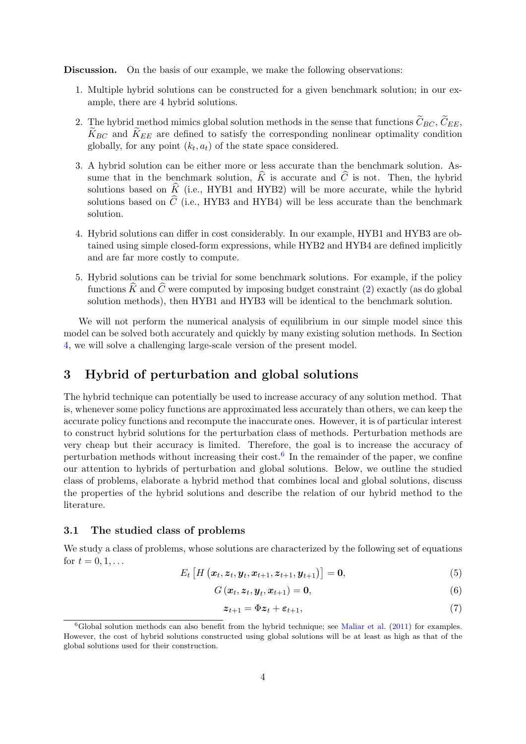Discussion. On the basis of our example, we make the following observations:

- 1. Multiple hybrid solutions can be constructed for a given benchmark solution; in our example, there are 4 hybrid solutions.
- 2. The hybrid method mimics global solution methods in the sense that functions  $\widetilde{C}_{BC}$ ,  $\widetilde{C}_{EE}$ ,  $\widetilde{K}_{BC}$  and  $\widetilde{K}_{EE}$  are defined to satisfy the corresponding nonlinear optimality condition globally, for any point  $(k_t, a_t)$  of the state space considered.
- 3. A hybrid solution can be either more or less accurate than the benchmark solution. Assume that in the benchmark solution,  $\hat{K}$  is accurate and  $\hat{C}$  is not. Then, the hybrid solutions based on  $\hat{K}$  (i.e., HYB1 and HYB2) will be more accurate, while the hybrid solutions based on  $\hat{C}$  (i.e., HYB3 and HYB4) will be less accurate than the benchmark solution.
- 4. Hybrid solutions can differ in cost considerably. In our example, HYB1 and HYB3 are obtained using simple closed-form expressions, while HYB2 and HYB4 are defined implicitly and are far more costly to compute.
- 5. Hybrid solutions can be trivial for some benchmark solutions. For example, if the policy functions  $\widehat{K}$  and  $\widehat{C}$  were computed by imposing budget constraint [\(2\)](#page-3-4) exactly (as do global solution methods), then HYB1 and HYB3 will be identical to the benchmark solution.

We will not perform the numerical analysis of equilibrium in our simple model since this model can be solved both accurately and quickly by many existing solution methods. In Section [4,](#page-6-0) we will solve a challenging large-scale version of the present model.

# <span id="page-4-0"></span>3 Hybrid of perturbation and global solutions

The hybrid technique can potentially be used to increase accuracy of any solution method. That is, whenever some policy functions are approximated less accurately than others, we can keep the accurate policy functions and recompute the inaccurate ones. However, it is of particular interest to construct hybrid solutions for the perturbation class of methods. Perturbation methods are very cheap but their accuracy is limited. Therefore, the goal is to increase the accuracy of perturbation methods without increasing their cost.<sup>[6](#page-4-1)</sup> In the remainder of the paper, we confine our attention to hybrids of perturbation and global solutions. Below, we outline the studied class of problems, elaborate a hybrid method that combines local and global solutions, discuss the properties of the hybrid solutions and describe the relation of our hybrid method to the literature.

#### 3.1 The studied class of problems

We study a class of problems, whose solutions are characterized by the following set of equations for  $t = 0, 1, ...$ 

<span id="page-4-2"></span>
$$
E_t\left[H\left(\bm{x}_t, \bm{z}_t, \bm{y}_t, \bm{x}_{t+1}, \bm{z}_{t+1}, \bm{y}_{t+1}\right)\right] = \bm{0},\tag{5}
$$

<span id="page-4-3"></span>
$$
G\left(\boldsymbol{x}_{t},\boldsymbol{z}_{t},\boldsymbol{y}_{t},\boldsymbol{x}_{t+1}\right)=\boldsymbol{0},\tag{6}
$$

<span id="page-4-4"></span>
$$
z_{t+1} = \Phi z_t + \varepsilon_{t+1},\tag{7}
$$

<span id="page-4-1"></span> $6G$ lobal solution methods can also benefit from the hybrid technique; see [Maliar et al.](#page-13-7) [\(2011\)](#page-13-7) for examples. However, the cost of hybrid solutions constructed using global solutions will be at least as high as that of the global solutions used for their construction.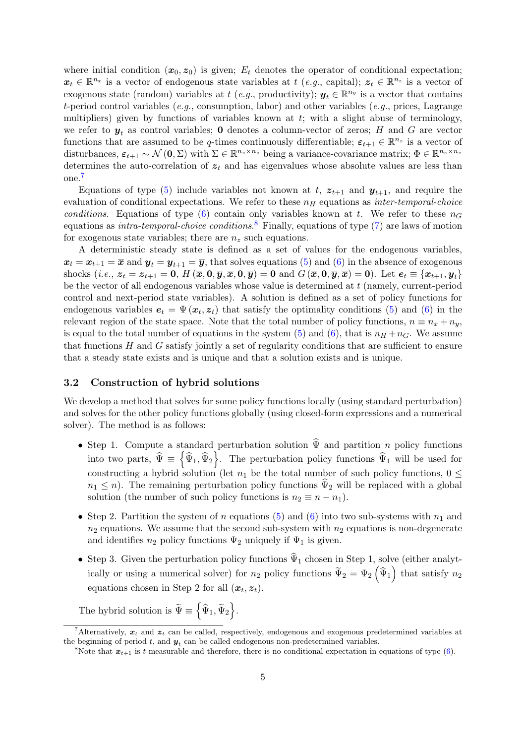where initial condition  $(x_0, z_0)$  is given;  $E_t$  denotes the operator of conditional expectation;  $x_t \in \mathbb{R}^{n_x}$  is a vector of endogenous state variables at  $t$  (e.g., capital);  $z_t \in \mathbb{R}^{n_z}$  is a vector of exogenous state (random) variables at t (e.g., productivity);  $y_t \in \mathbb{R}^{n_y}$  is a vector that contains t-period control variables (e.g., consumption, labor) and other variables (e.g., prices, Lagrange multipliers) given by functions of variables known at  $t$ ; with a slight abuse of terminology, we refer to  $y_t$  as control variables; 0 denotes a column-vector of zeros; H and G are vector functions that are assumed to be q-times continuously differentiable;  $\varepsilon_{t+1} \in \mathbb{R}^{n_z}$  is a vector of disturbances,  $\varepsilon_{t+1} \sim \mathcal{N}(\mathbf{0}, \Sigma)$  with  $\Sigma \in \mathbb{R}^{n_z \times n_z}$  being a variance-covariance matrix;  $\Phi \in \mathbb{R}^{n_z \times n_z}$ determines the auto-correlation of  $z_t$  and has eigenvalues whose absolute values are less than one.[7](#page-5-0)

Equations of type [\(5\)](#page-4-2) include variables not known at t,  $z_{t+1}$  and  $y_{t+1}$ , and require the evaluation of conditional expectations. We refer to these  $n_H$  equations as *inter-temporal-choice* conditions. Equations of type [\(6\)](#page-4-3) contain only variables known at t. We refer to these  $n_G$ equations as *intra-temporal-choice conditions*.<sup>[8](#page-5-1)</sup> Finally, equations of type [\(7\)](#page-4-4) are laws of motion for exogenous state variables; there are  $n_z$  such equations.

A deterministic steady state is defined as a set of values for the endogenous variables,  $x_t = x_{t+1} = \overline{x}$  and  $y_t = y_{t+1} = \overline{y}$ , that solves equations [\(5\)](#page-4-2) and [\(6\)](#page-4-3) in the absence of exogenous shocks (*i.e.*,  $z_t = z_{t+1} = 0$ ,  $H(\overline{x}, 0, \overline{y}, \overline{x}, 0, \overline{y}) = 0$  and  $G(\overline{x}, 0, \overline{y}, \overline{x}) = 0$ ). Let  $e_t \equiv \{x_{t+1}, y_t\}$ be the vector of all endogenous variables whose value is determined at  $t$  (namely, current-period control and next-period state variables). A solution is defined as a set of policy functions for endogenous variables  $e_t = \Psi(x_t, z_t)$  that satisfy the optimality conditions [\(5\)](#page-4-2) and [\(6\)](#page-4-3) in the relevant region of the state space. Note that the total number of policy functions,  $n \equiv n_x + n_y$ , is equal to the total number of equations in the system [\(5\)](#page-4-2) and [\(6\)](#page-4-3), that is  $n_H + n_G$ . We assume that functions  $H$  and  $G$  satisfy jointly a set of regularity conditions that are sufficient to ensure that a steady state exists and is unique and that a solution exists and is unique.

## 3.2 Construction of hybrid solutions

We develop a method that solves for some policy functions locally (using standard perturbation) and solves for the other policy functions globally (using closed-form expressions and a numerical solver). The method is as follows:

- Step 1. Compute a standard perturbation solution  $\Psi$  and partition n policy functions into two parts,  $\hat{\Psi} \equiv \{\hat{\Psi}_1, \hat{\Psi}_2\}.$  The perturbation policy functions  $\hat{\Psi}_1$  will be used for constructing a hybrid solution (let  $n_1$  be the total number of such policy functions,  $0 \leq$  $n_1 \leq n$ ). The remaining perturbation policy functions  $\Psi_2$  will be replaced with a global solution (the number of such policy functions is  $n_2 \equiv n - n_1$ ).
- Step 2. Partition the system of n equations [\(5\)](#page-4-2) and [\(6\)](#page-4-3) into two sub-systems with  $n_1$  and  $n_2$  equations. We assume that the second sub-system with  $n_2$  equations is non-degenerate and identifies  $n_2$  policy functions  $\Psi_2$  uniquely if  $\Psi_1$  is given.
- Step 3. Given the perturbation policy functions  $\hat{\Psi}_1$  chosen in Step 1, solve (either analytically or using a numerical solver) for  $n_2$  policy functions  $\widetilde{\Psi}_2 = \Psi_2 \left( \widehat{\Psi}_1 \right)$  that satisfy  $n_2$ equations chosen in Step 2 for all  $(x_t, z_t)$ .

The hybrid solution is  $\widetilde{\Psi} \equiv \left\{ \widehat{\Psi}_1, \widetilde{\Psi}_2 \right\}$ .

<span id="page-5-0"></span><sup>&</sup>lt;sup>7</sup>Alternatively,  $x_t$  and  $z_t$  can be called, respectively, endogenous and exogenous predetermined variables at the beginning of period  $t$ , and  $y_t$  can be called endogenous non-predetermined variables.

<span id="page-5-1"></span><sup>&</sup>lt;sup>8</sup>Note that  $x_{t+1}$  is t-measurable and therefore, there is no conditional expectation in equations of type [\(6\)](#page-4-3).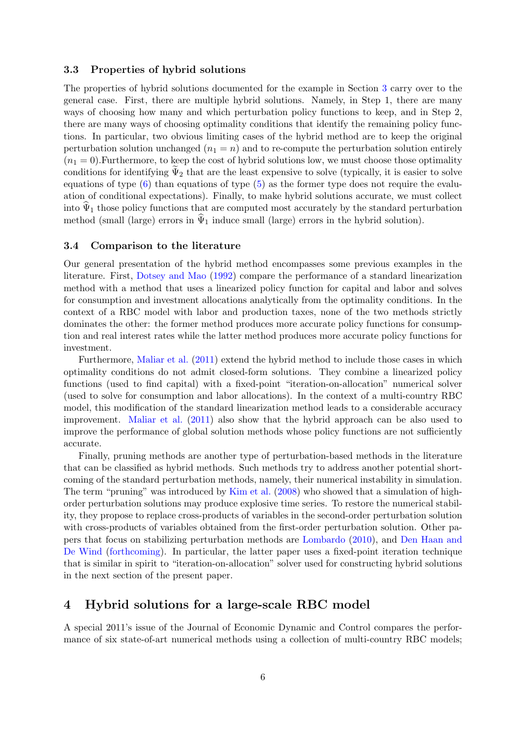#### 3.3 Properties of hybrid solutions

The properties of hybrid solutions documented for the example in Section [3](#page-4-0) carry over to the general case. First, there are multiple hybrid solutions. Namely, in Step 1, there are many ways of choosing how many and which perturbation policy functions to keep, and in Step 2, there are many ways of choosing optimality conditions that identify the remaining policy functions. In particular, two obvious limiting cases of the hybrid method are to keep the original perturbation solution unchanged  $(n_1 = n)$  and to re-compute the perturbation solution entirely  $(n_1 = 0)$ . Furthermore, to keep the cost of hybrid solutions low, we must choose those optimality conditions for identifying  $\Psi_2$  that are the least expensive to solve (typically, it is easier to solve equations of type  $(6)$  than equations of type  $(5)$  as the former type does not require the evaluation of conditional expectations). Finally, to make hybrid solutions accurate, we must collect into  $\hat{\Psi}_1$  those policy functions that are computed most accurately by the standard perturbation method (small (large) errors in  $\hat{\Psi}_1$  induce small (large) errors in the hybrid solution).

## 3.4 Comparison to the literature

Our general presentation of the hybrid method encompasses some previous examples in the literature. First, [Dotsey and Mao](#page-12-6) [\(1992\)](#page-12-6) compare the performance of a standard linearization method with a method that uses a linearized policy function for capital and labor and solves for consumption and investment allocations analytically from the optimality conditions. In the context of a RBC model with labor and production taxes, none of the two methods strictly dominates the other: the former method produces more accurate policy functions for consumption and real interest rates while the latter method produces more accurate policy functions for investment.

Furthermore, [Maliar et al.](#page-13-7) [\(2011\)](#page-13-7) extend the hybrid method to include those cases in which optimality conditions do not admit closed-form solutions. They combine a linearized policy functions (used to find capital) with a fixed-point "iteration-on-allocation" numerical solver (used to solve for consumption and labor allocations). In the context of a multi-country RBC model, this modification of the standard linearization method leads to a considerable accuracy improvement. [Maliar et al.](#page-13-7) [\(2011\)](#page-13-7) also show that the hybrid approach can be also used to improve the performance of global solution methods whose policy functions are not sufficiently accurate.

Finally, pruning methods are another type of perturbation-based methods in the literature that can be classified as hybrid methods. Such methods try to address another potential shortcoming of the standard perturbation methods, namely, their numerical instability in simulation. The term "pruning" was introduced by [Kim et al.](#page-13-11) [\(2008\)](#page-13-11) who showed that a simulation of highorder perturbation solutions may produce explosive time series. To restore the numerical stability, they propose to replace cross-products of variables in the second-order perturbation solution with cross-products of variables obtained from the first-order perturbation solution. Other papers that focus on stabilizing perturbation methods are [Lombardo](#page-13-12) [\(2010\)](#page-13-12), and [Den Haan and](#page-12-7) [De Wind](#page-12-7) [\(forthcoming\)](#page-12-7). In particular, the latter paper uses a fixed-point iteration technique that is similar in spirit to "iteration-on-allocation" solver used for constructing hybrid solutions in the next section of the present paper.

# <span id="page-6-0"></span>4 Hybrid solutions for a large-scale RBC model

A special 2011's issue of the Journal of Economic Dynamic and Control compares the performance of six state-of-art numerical methods using a collection of multi-country RBC models;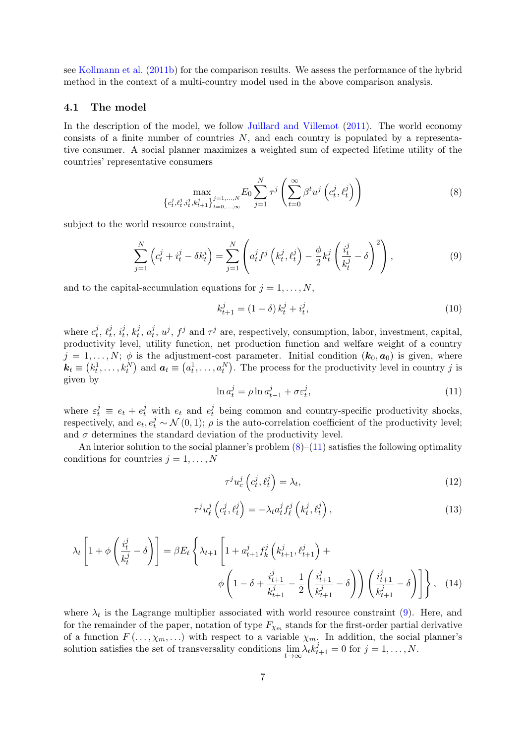see [Kollmann et al.](#page-13-0) [\(2011b\)](#page-13-0) for the comparison results. We assess the performance of the hybrid method in the context of a multi-country model used in the above comparison analysis.

## 4.1 The model

In the description of the model, we follow [Juillard and Villemot](#page-13-10) [\(2011\)](#page-13-10). The world economy consists of a finite number of countries  $N$ , and each country is populated by a representative consumer. A social planner maximizes a weighted sum of expected lifetime utility of the countries' representative consumers

<span id="page-7-0"></span>
$$
\max_{\{c_t^j, \ell_t^j, i_t^j, k_{t+1}^j\}_{t=0,\dots,\infty}^{j=1,\dots,N}} E_0 \sum_{j=1}^N \tau^j \left( \sum_{t=0}^\infty \beta^t u^j \left( c_t^j, \ell_t^j \right) \right)
$$
(8)

subject to the world resource constraint,

<span id="page-7-2"></span>
$$
\sum_{j=1}^{N} \left( c_t^j + i_t^j - \delta k_t^i \right) = \sum_{j=1}^{N} \left( a_t^j f^j \left( k_t^j, \ell_t^j \right) - \frac{\phi}{2} k_t^j \left( \frac{i_t^j}{k_t^j} - \delta \right)^2 \right),\tag{9}
$$

and to the capital-accumulation equations for  $j = 1, \ldots, N$ ,

<span id="page-7-3"></span>
$$
k_{t+1}^{j} = (1 - \delta) k_t^{j} + i_t^{j}, \tag{10}
$$

where  $c_t^j$  $_i^j$ ,  $\ell_t^j$  $_i^j$ ,  $i_t^j$  $\frac{j}{t},\,k_t^j$  $_i^j, a_t^j$  $t, u^j, t^j$  and  $\tau^j$  are, respectively, consumption, labor, investment, capital, productivity level, utility function, net production function and welfare weight of a country  $j = 1, \ldots, N; \phi$  is the adjustment-cost parameter. Initial condition  $(k_0, a_0)$  is given, where  $\mathbf{k}_t \equiv (k_t^1, \ldots, k_t^N)$  and  $\mathbf{a}_t \equiv (a_t^1, \ldots, a_t^N)$ . The process for the productivity level in country j is given by

<span id="page-7-1"></span>
$$
\ln a_t^j = \rho \ln a_{t-1}^j + \sigma \varepsilon_t^j,\tag{11}
$$

where  $\varepsilon_t^j \equiv e_t + e_t^j$  with  $e_t$  and  $e_t^j$  being common and country-specific productivity shocks, respectively, and  $e_t, e_t^j \sim \mathcal{N}(0, 1)$ ;  $\rho$  is the auto-correlation coefficient of the productivity level; and  $\sigma$  determines the standard deviation of the productivity level.

An interior solution to the social planner's problem  $(8)$ – $(11)$  satisfies the following optimality conditions for countries  $j = 1, \ldots, N$ 

<span id="page-7-5"></span><span id="page-7-4"></span>
$$
\tau^j u_c^j \left( c_t^j, \ell_t^j \right) = \lambda_t,\tag{12}
$$

<span id="page-7-6"></span>
$$
\tau^{j} u_{\ell}^{j} \left( c_{t}^{j}, \ell_{t}^{j} \right) = -\lambda_{t} a_{t}^{j} f_{\ell}^{j} \left( k_{t}^{j}, \ell_{t}^{j} \right), \qquad (13)
$$

$$
\lambda_t \left[ 1 + \phi \left( \frac{i_t^j}{k_t^j} - \delta \right) \right] = \beta E_t \left\{ \lambda_{t+1} \left[ 1 + a_{t+1}^j f_k^j \left( k_{t+1}^j, \ell_{t+1}^j \right) + \phi \left( 1 - \delta + \frac{i_{t+1}^j}{k_{t+1}^j} - \frac{1}{2} \left( \frac{i_{t+1}^j}{k_{t+1}^j} - \delta \right) \right) \left( \frac{i_{t+1}^j}{k_{t+1}^j} - \delta \right) \right] \right\}, \quad (14)
$$

where  $\lambda_t$  is the Lagrange multiplier associated with world resource constraint [\(9\)](#page-7-2). Here, and for the remainder of the paper, notation of type  $F_{\chi_m}$  stands for the first-order partial derivative of a function  $F(\ldots, \chi_m, \ldots)$  with respect to a variable  $\chi_m$ . In addition, the social planner's solution satisfies the set of transversality conditions  $\lim_{t\to\infty} \lambda_t k_{t+1}^j = 0$  for  $j = 1, ..., N$ .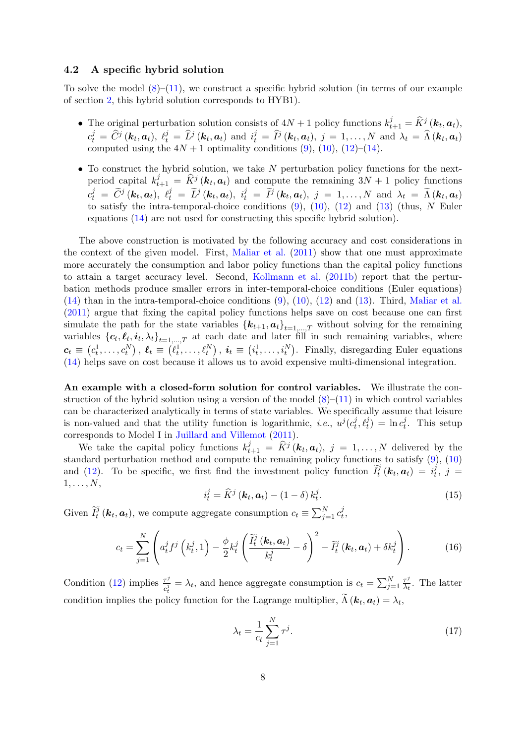### 4.2 A specific hybrid solution

To solve the model  $(8)$ – $(11)$ , we construct a specific hybrid solution (in terms of our example of section [2,](#page-3-0) this hybrid solution corresponds to HYB1).

- The original perturbation solution consists of  $4N + 1$  policy functions  $k_{t+1}^j = \widehat{K}^j(\boldsymbol{k}_t, \boldsymbol{a}_t)$ ,  $c_t^j = \hat{C}^j(\mathbf{k}_t, \mathbf{a}_t), \ell_t^j = \hat{L}^j(\mathbf{k}_t, \mathbf{a}_t)$  and  $i_t^j = \hat{I}^j(\mathbf{k}_t, \mathbf{a}_t), j = 1, \ldots, N$  and  $\lambda_t = \hat{\Lambda}(\mathbf{k}_t, \mathbf{a}_t)$ computed using the  $4N + 1$  optimality conditions  $(9)$ ,  $(10)$ ,  $(12)$ – $(14)$ .
- $\bullet$  To construct the hybrid solution, we take N perturbation policy functions for the nextperiod capital  $k_{t+1}^j = \hat{K}^j(\mathbf{k}_t, \mathbf{a}_t)$  and compute the remaining  $3N + 1$  policy functions  $c_t^j = \widetilde{C}^j(\mathbf{k}_t, \mathbf{a}_t), \ \ell_t^j = \widetilde{L}^j(\mathbf{k}_t, \mathbf{a}_t), \ \ i_t^j = \widetilde{I}^j(\mathbf{k}_t, \mathbf{a}_t), \ j = 1, \ldots, N \text{ and } \lambda_t = \widetilde{\Lambda}(\mathbf{k}_t, \mathbf{a}_t)$ to satisfy the intra-temporal-choice conditions  $(9)$ ,  $(10)$ ,  $(12)$  and  $(13)$  (thus, N Euler equations [\(14\)](#page-7-5) are not used for constructing this specific hybrid solution).

The above construction is motivated by the following accuracy and cost considerations in the context of the given model. First, [Maliar et al.](#page-13-7) [\(2011\)](#page-13-7) show that one must approximate more accurately the consumption and labor policy functions than the capital policy functions to attain a target accuracy level. Second, [Kollmann et al.](#page-13-0) [\(2011b\)](#page-13-0) report that the perturbation methods produce smaller errors in inter-temporal-choice conditions (Euler equations) [\(14\)](#page-7-5) than in the intra-temporal-choice conditions [\(9\)](#page-7-2), [\(10\)](#page-7-3), [\(12\)](#page-7-4) and [\(13\)](#page-7-6). Third, [Maliar et al.](#page-13-7) [\(2011\)](#page-13-7) argue that fixing the capital policy functions helps save on cost because one can first simulate the path for the state variables  $\{k_{t+1}, a_t\}_{t=1,\dots,T}$  without solving for the remaining variables  $\{\boldsymbol{c}_t, \boldsymbol{\ell}_t, \boldsymbol{i}_t, \lambda_t\}_{t=1,\dots,T}$  at each date and later fill in such remaining variables, where  $\boldsymbol{c}_t \equiv (c_t^1, \ldots, c_t^N)$ ,  $\boldsymbol{\ell}_t \equiv (\ell_t^1, \ldots, \ell_t^N)$ ,  $\boldsymbol{i}_t \equiv (i_t^1, \ldots, i_t^N)$ . Finally, disregarding Euler equations [\(14\)](#page-7-5) helps save on cost because it allows us to avoid expensive multi-dimensional integration.

An example with a closed-form solution for control variables. We illustrate the construction of the hybrid solution using a version of the model  $(8)$ – $(11)$  in which control variables can be characterized analytically in terms of state variables. We specifically assume that leisure is non-valued and that the utility function is logarithmic, *i.e.*,  $u^{j}(c_t^j)$  $\left(\frac{d}{dt},\ell_t^j\right) = \ln c_t^j$  $t_t^j$ . This setup corresponds to Model I in [Juillard and Villemot](#page-13-10) [\(2011\)](#page-13-10).

We take the capital policy functions  $k_{t+1}^j = \widehat{K}^j(\boldsymbol{k}_t, \boldsymbol{a}_t), j = 1, ..., N$  delivered by the standard perturbation method and compute the remaining policy functions to satisfy [\(9\)](#page-7-2), [\(10\)](#page-7-3) and [\(12\)](#page-7-4). To be specific, we first find the investment policy function  $\tilde{I}_t^j(\mathbf{k}_t, \mathbf{a}_t) = i_t^j$  $\frac{j}{t},\;j\;=\;$  $1, \ldots, N$ ,

$$
i_t^j = \widehat{K}^j \left( \mathbf{k}_t, \mathbf{a}_t \right) - \left( 1 - \delta \right) k_t^j. \tag{15}
$$

Given  $\tilde{I}_t^j$  ( $\mathbf{k}_t$ ,  $\mathbf{a}_t$ ), we compute aggregate consumption  $c_t \equiv \sum_{j=1}^{N} c_t^j$  $\frac{\jmath}{t},$ 

$$
c_t = \sum_{j=1}^N \left( a_t^j f^j \left( k_t^j, 1 \right) - \frac{\phi}{2} k_t^j \left( \frac{\widetilde{I}_t^j \left( k_t, a_t \right)}{k_t^j} - \delta \right)^2 - \widetilde{I}_t^j \left( k_t, a_t \right) + \delta k_t^j \right). \tag{16}
$$

Condition [\(12\)](#page-7-4) implies  $\frac{\tau^j}{i}$  $\frac{\tau^j}{c_t^j} = \lambda_t$ , and hence aggregate consumption is  $c_t = \sum_{j=1}^N \frac{\tau^j}{\lambda_t}$  $\frac{\tau^j}{\lambda_t}$ . The latter condition implies the policy function for the Lagrange multiplier,  $\Lambda(k_t, a_t) = \lambda_t$ ,

$$
\lambda_t = \frac{1}{c_t} \sum_{j=1}^N \tau^j.
$$
\n(17)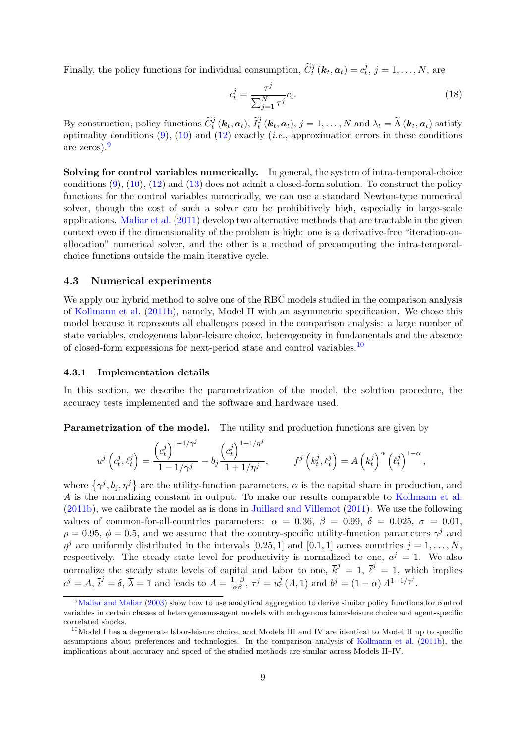Finally, the policy functions for individual consumption,  $\tilde{C}_t^j(\mathbf{k}_t, \mathbf{a}_t) = c_t^j$  $t_i^j, j = 1, \ldots, N$ , are

$$
c_t^j = \frac{\tau^j}{\sum_{j=1}^N \tau^j} c_t.
$$
\n(18)

By construction, policy functions  $\widetilde{C}_t^j(\mathbf{k}_t, \mathbf{a}_t)$ ,  $\widetilde{I}_t^j(\mathbf{k}_t, \mathbf{a}_t)$ ,  $j = 1, ..., N$  and  $\lambda_t = \widetilde{\Lambda}(\mathbf{k}_t, \mathbf{a}_t)$  satisfy optimality conditions  $(9)$ ,  $(10)$  and  $(12)$  exactly (*i.e.*, approximation errors in these conditions are zeros).[9](#page-9-0)

Solving for control variables numerically. In general, the system of intra-temporal-choice conditions  $(9)$ ,  $(10)$ ,  $(12)$  and  $(13)$  does not admit a closed-form solution. To construct the policy functions for the control variables numerically, we can use a standard Newton-type numerical solver, though the cost of such a solver can be prohibitively high, especially in large-scale applications. [Maliar et al.](#page-13-7) [\(2011\)](#page-13-7) develop two alternative methods that are tractable in the given context even if the dimensionality of the problem is high: one is a derivative-free "iteration-onallocation" numerical solver, and the other is a method of precomputing the intra-temporalchoice functions outside the main iterative cycle.

#### 4.3 Numerical experiments

We apply our hybrid method to solve one of the RBC models studied in the comparison analysis of [Kollmann et al.](#page-13-0) [\(2011b\)](#page-13-0), namely, Model II with an asymmetric specification. We chose this model because it represents all challenges posed in the comparison analysis: a large number of state variables, endogenous labor-leisure choice, heterogeneity in fundamentals and the absence of closed-form expressions for next-period state and control variables.<sup>[10](#page-9-1)</sup>

### 4.3.1 Implementation details

In this section, we describe the parametrization of the model, the solution procedure, the accuracy tests implemented and the software and hardware used.

Parametrization of the model. The utility and production functions are given by

$$
u^j\left(c_t^j, \ell_t^j\right) = \frac{\left(c_t^j\right)^{1-1/\gamma^j}}{1-1/\gamma^j} - b_j \frac{\left(c_t^j\right)^{1+1/\eta^j}}{1+1/\eta^j}, \qquad f^j\left(k_t^j, \ell_t^j\right) = A\left(k_t^j\right)^\alpha \left(\ell_t^j\right)^{1-\alpha},
$$

where  $\{\gamma^j, b_j, \eta^j\}$  are the utility-function parameters,  $\alpha$  is the capital share in production, and A is the normalizing constant in output. To make our results comparable to [Kollmann et al.](#page-13-0) [\(2011b\)](#page-13-0), we calibrate the model as is done in [Juillard and Villemot](#page-13-10) [\(2011\)](#page-13-10). We use the following values of common-for-all-countries parameters:  $\alpha = 0.36, \beta = 0.99, \delta = 0.025, \sigma = 0.01,$  $\rho = 0.95, \phi = 0.5$ , and we assume that the country-specific utility-function parameters  $\gamma^j$  and  $\eta^j$  are uniformly distributed in the intervals [0.25, 1] and [0.1, 1] across countries  $j = 1, \ldots, N$ , respectively. The steady state level for productivity is normalized to one,  $\bar{a}^j = 1$ . We also normalize the steady state levels of capital and labor to one,  $\overline{k}^j = 1$ ,  $\overline{\ell}^j = 1$ , which implies  $\overline{c}^j = A, \overline{i}^j = \delta, \overline{\lambda} = 1$  and leads to  $A = \frac{1-\beta}{\alpha\beta}, \tau^j = u_c^j(A,1)$  and  $b^j = (1-\alpha) A^{1-1/\gamma^j}$ .

<span id="page-9-0"></span><sup>9</sup>[Maliar and Maliar](#page-13-13) [\(2003\)](#page-13-13) show how to use analytical aggregation to derive similar policy functions for control variables in certain classes of heterogeneous-agent models with endogenous labor-leisure choice and agent-specific correlated shocks.

<span id="page-9-1"></span> $10$ Model I has a degenerate labor-leisure choice, and Models III and IV are identical to Model II up to specific assumptions about preferences and technologies. In the comparison analysis of [Kollmann et al.](#page-13-0) [\(2011b\)](#page-13-0), the implications about accuracy and speed of the studied methods are similar across Models II–IV.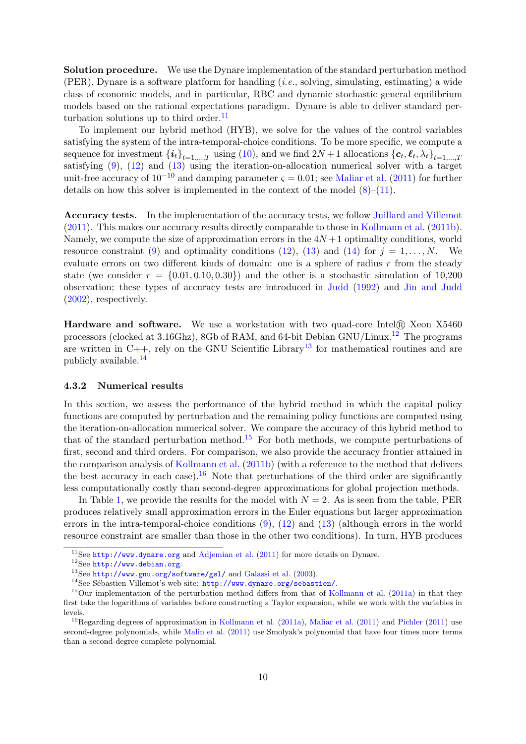Solution procedure. We use the Dynare implementation of the standard perturbation method (PER). Dynare is a software platform for handling  $(i.e.,$  solving, simulating, estimating) a wide class of economic models, and in particular, RBC and dynamic stochastic general equilibrium models based on the rational expectations paradigm. Dynare is able to deliver standard per-turbation solutions up to third order.<sup>[11](#page-10-0)</sup>

To implement our hybrid method (HYB), we solve for the values of the control variables satisfying the system of the intra-temporal-choice conditions. To be more specific, we compute a sequence for investment  $\{\boldsymbol{i}_t\}_{t=1,\dots,T}$  using  $(10)$ , and we find  $2N+1$  allocations  $\{\boldsymbol{c}_t, \boldsymbol{\ell}_t, \lambda_t\}_{t=1,\dots,T}$ satisfying [\(9\)](#page-7-2), [\(12\)](#page-7-4) and [\(13\)](#page-7-6) using the iteration-on-allocation numerical solver with a target unit-free accuracy of  $10^{-10}$  and damping parameter  $\varsigma = 0.01$ ; see [Maliar et al.](#page-13-7) [\(2011\)](#page-13-7) for further details on how this solver is implemented in the context of the model  $(8)–(11)$  $(8)–(11)$  $(8)–(11)$ .

Accuracy tests. In the implementation of the accuracy tests, we follow [Juillard and Villemot](#page-13-10) [\(2011\)](#page-13-10). This makes our accuracy results directly comparable to those in [Kollmann et al.](#page-13-0) [\(2011b\)](#page-13-0). Namely, we compute the size of approximation errors in the  $4N+1$  optimality conditions, world resource constraint [\(9\)](#page-7-2) and optimality conditions [\(12\)](#page-7-4), [\(13\)](#page-7-6) and [\(14\)](#page-7-5) for  $j = 1, ..., N$ . We evaluate errors on two different kinds of domain: one is a sphere of radius r from the steady state (we consider  $r = \{0.01, 0.10, 0.30\}$ ) and the other is a stochastic simulation of 10,200 observation; these types of accuracy tests are introduced in [Judd](#page-13-2) [\(1992\)](#page-13-2) and [Jin and Judd](#page-13-4) [\(2002\)](#page-13-4), respectively.

**Hardware and software.** We use a workstation with two quad-core Intel $\Re$  Xeon X5460 processors (clocked at 3.16Ghz), 8Gb of RAM, and 64-bit Debian GNU/Linux.[12](#page-10-1) The programs are written in  $C_{++}$ , rely on the GNU Scientific Library<sup>[13](#page-10-2)</sup> for mathematical routines and are publicly available.[14](#page-10-3)

#### 4.3.2 Numerical results

In this section, we assess the performance of the hybrid method in which the capital policy functions are computed by perturbation and the remaining policy functions are computed using the iteration-on-allocation numerical solver. We compare the accuracy of this hybrid method to that of the standard perturbation method.<sup>[15](#page-10-4)</sup> For both methods, we compute perturbations of first, second and third orders. For comparison, we also provide the accuracy frontier attained in the comparison analysis of [Kollmann et al.](#page-13-0) [\(2011b\)](#page-13-0) (with a reference to the method that delivers the best accuracy in each case).<sup>[16](#page-10-5)</sup> Note that perturbations of the third order are significantly less computationally costly than second-degree approximations for global projection methods.

In Table [1,](#page-15-0) we provide the results for the model with  $N = 2$ . As is seen from the table, PER produces relatively small approximation errors in the Euler equations but larger approximation errors in the intra-temporal-choice conditions [\(9\)](#page-7-2), [\(12\)](#page-7-4) and [\(13\)](#page-7-6) (although errors in the world resource constraint are smaller than those in the other two conditions). In turn, HYB produces

<span id="page-10-0"></span> $11$ See <http://www.dynare.org> and [Adjemian et al.](#page-12-8) [\(2011\)](#page-12-8) for more details on Dynare.

<span id="page-10-1"></span><sup>12</sup>See <http://www.debian.org>.

<span id="page-10-2"></span><sup>13</sup>See <http://www.gnu.org/software/gsl/> and [Galassi et al.](#page-12-9) [\(2003\)](#page-12-9).

<span id="page-10-4"></span><span id="page-10-3"></span><sup>&</sup>lt;sup>14</sup>See Sébastien Villemot's web site: <http://www.dynare.org/sebastien/>.

<sup>&</sup>lt;sup>15</sup>Our implementation of the perturbation method differs from that of [Kollmann et al.](#page-13-6) [\(2011a\)](#page-13-6) in that they first take the logarithms of variables before constructing a Taylor expansion, while we work with the variables in levels.

<span id="page-10-5"></span><sup>&</sup>lt;sup>16</sup>Regarding degrees of approximation in [Kollmann et al.](#page-13-6) [\(2011a\)](#page-13-6), [Maliar et al.](#page-13-7) [\(2011\)](#page-13-9) and [Pichler](#page-13-9) (2011) use second-degree polynomials, while [Malin et al.](#page-13-8) [\(2011\)](#page-13-8) use Smolyak's polynomial that have four times more terms than a second-degree complete polynomial.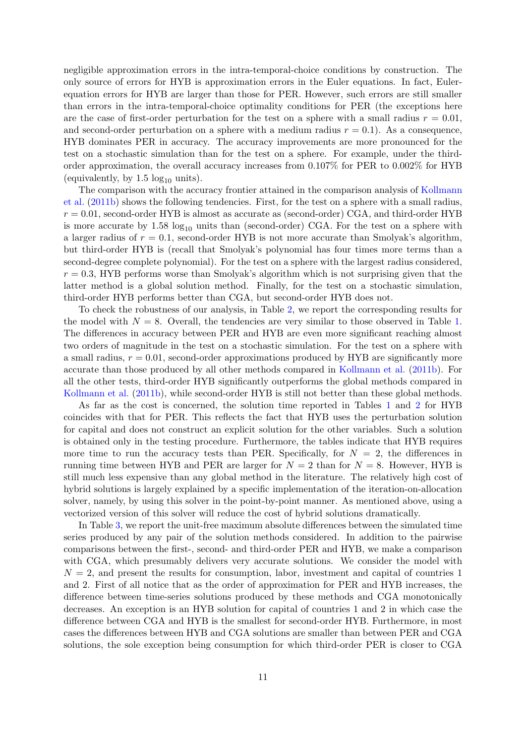negligible approximation errors in the intra-temporal-choice conditions by construction. The only source of errors for HYB is approximation errors in the Euler equations. In fact, Eulerequation errors for HYB are larger than those for PER. However, such errors are still smaller than errors in the intra-temporal-choice optimality conditions for PER (the exceptions here are the case of first-order perturbation for the test on a sphere with a small radius  $r = 0.01$ , and second-order perturbation on a sphere with a medium radius  $r = 0.1$ ). As a consequence, HYB dominates PER in accuracy. The accuracy improvements are more pronounced for the test on a stochastic simulation than for the test on a sphere. For example, under the thirdorder approximation, the overall accuracy increases from 0.107% for PER to 0.002% for HYB (equivalently, by  $1.5 \log_{10} \text{ units}$ ).

The comparison with the accuracy frontier attained in the comparison analysis of [Kollmann](#page-13-0) [et al.](#page-13-0) [\(2011b\)](#page-13-0) shows the following tendencies. First, for the test on a sphere with a small radius,  $r = 0.01$ , second-order HYB is almost as accurate as (second-order) CGA, and third-order HYB is more accurate by  $1.58 \log_{10}$  units than (second-order) CGA. For the test on a sphere with a larger radius of  $r = 0.1$ , second-order HYB is not more accurate than Smolyak's algorithm, but third-order HYB is (recall that Smolyak's polynomial has four times more terms than a second-degree complete polynomial). For the test on a sphere with the largest radius considered,  $r = 0.3$ , HYB performs worse than Smolyak's algorithm which is not surprising given that the latter method is a global solution method. Finally, for the test on a stochastic simulation, third-order HYB performs better than CGA, but second-order HYB does not.

To check the robustness of our analysis, in Table [2,](#page-16-0) we report the corresponding results for the model with  $N = 8$ . Overall, the tendencies are very similar to those observed in Table [1.](#page-15-0) The differences in accuracy between PER and HYB are even more significant reaching almost two orders of magnitude in the test on a stochastic simulation. For the test on a sphere with a small radius,  $r = 0.01$ , second-order approximations produced by HYB are significantly more accurate than those produced by all other methods compared in [Kollmann et al.](#page-13-0) [\(2011b\)](#page-13-0). For all the other tests, third-order HYB significantly outperforms the global methods compared in [Kollmann et al.](#page-13-0) [\(2011b\)](#page-13-0), while second-order HYB is still not better than these global methods.

As far as the cost is concerned, the solution time reported in Tables [1](#page-15-0) and [2](#page-16-0) for HYB coincides with that for PER. This reflects the fact that HYB uses the perturbation solution for capital and does not construct an explicit solution for the other variables. Such a solution is obtained only in the testing procedure. Furthermore, the tables indicate that HYB requires more time to run the accuracy tests than PER. Specifically, for  $N = 2$ , the differences in running time between HYB and PER are larger for  $N = 2$  than for  $N = 8$ . However, HYB is still much less expensive than any global method in the literature. The relatively high cost of hybrid solutions is largely explained by a specific implementation of the iteration-on-allocation solver, namely, by using this solver in the point-by-point manner. As mentioned above, using a vectorized version of this solver will reduce the cost of hybrid solutions dramatically.

In Table [3,](#page-17-0) we report the unit-free maximum absolute differences between the simulated time series produced by any pair of the solution methods considered. In addition to the pairwise comparisons between the first-, second- and third-order PER and HYB, we make a comparison with CGA, which presumably delivers very accurate solutions. We consider the model with  $N = 2$ , and present the results for consumption, labor, investment and capital of countries 1 and 2. First of all notice that as the order of approximation for PER and HYB increases, the difference between time-series solutions produced by these methods and CGA monotonically decreases. An exception is an HYB solution for capital of countries 1 and 2 in which case the difference between CGA and HYB is the smallest for second-order HYB. Furthermore, in most cases the differences between HYB and CGA solutions are smaller than between PER and CGA solutions, the sole exception being consumption for which third-order PER is closer to CGA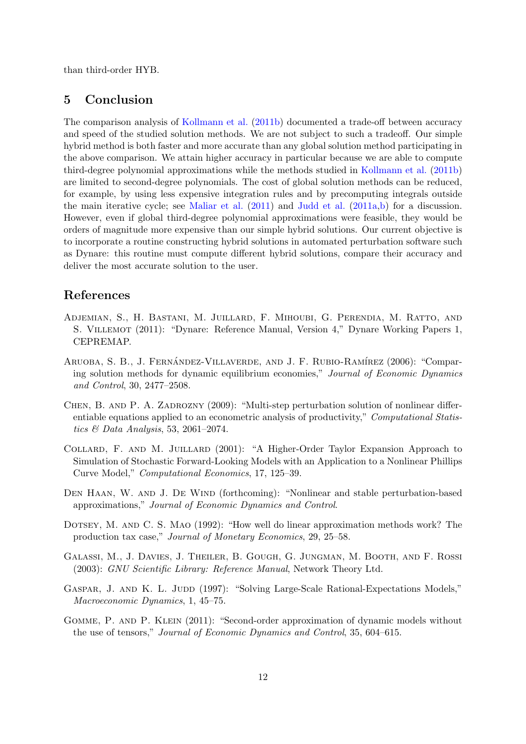than third-order HYB.

## <span id="page-12-5"></span>5 Conclusion

The comparison analysis of [Kollmann et al.](#page-13-0) [\(2011b\)](#page-13-0) documented a trade-off between accuracy and speed of the studied solution methods. We are not subject to such a tradeoff. Our simple hybrid method is both faster and more accurate than any global solution method participating in the above comparison. We attain higher accuracy in particular because we are able to compute third-degree polynomial approximations while the methods studied in [Kollmann et al.](#page-13-0) [\(2011b\)](#page-13-0) are limited to second-degree polynomials. The cost of global solution methods can be reduced, for example, by using less expensive integration rules and by precomputing integrals outside the main iterative cycle; see [Maliar et al.](#page-13-7)  $(2011)$  and [Judd et al.](#page-13-14)  $(2011a,b)$  $(2011a,b)$  for a discussion. However, even if global third-degree polynomial approximations were feasible, they would be orders of magnitude more expensive than our simple hybrid solutions. Our current objective is to incorporate a routine constructing hybrid solutions in automated perturbation software such as Dynare: this routine must compute different hybrid solutions, compare their accuracy and deliver the most accurate solution to the user.

## References

- <span id="page-12-8"></span>Adjemian, S., H. Bastani, M. Juillard, F. Mihoubi, G. Perendia, M. Ratto, and S. Villemot (2011): "Dynare: Reference Manual, Version 4," Dynare Working Papers 1, CEPREMAP.
- <span id="page-12-2"></span>ARUOBA, S. B., J. FERNÁNDEZ-VILLAVERDE, AND J. F. RUBIO-RAMÍREZ (2006): "Comparing solution methods for dynamic equilibrium economies," Journal of Economic Dynamics and Control, 30, 2477–2508.
- <span id="page-12-3"></span>Chen, B. and P. A. Zadrozny (2009): "Multi-step perturbation solution of nonlinear differentiable equations applied to an econometric analysis of productivity," *Computational Statis*tics & Data Analysis, 53, 2061–2074.
- <span id="page-12-1"></span>Collard, F. and M. Juillard (2001): "A Higher-Order Taylor Expansion Approach to Simulation of Stochastic Forward-Looking Models with an Application to a Nonlinear Phillips Curve Model," Computational Economics, 17, 125–39.
- <span id="page-12-7"></span>DEN HAAN, W. AND J. DE WIND (forthcoming): "Nonlinear and stable perturbation-based approximations," Journal of Economic Dynamics and Control.
- <span id="page-12-6"></span>Dotsey, M. and C. S. Mao (1992): "How well do linear approximation methods work? The production tax case," Journal of Monetary Economics, 29, 25–58.
- <span id="page-12-9"></span>Galassi, M., J. Davies, J. Theiler, B. Gough, G. Jungman, M. Booth, and F. Rossi (2003): GNU Scientific Library: Reference Manual, Network Theory Ltd.
- <span id="page-12-0"></span>GASPAR, J. AND K. L. JUDD (1997): "Solving Large-Scale Rational-Expectations Models," Macroeconomic Dynamics, 1, 45–75.
- <span id="page-12-4"></span>Gomme, P. and P. Klein (2011): "Second-order approximation of dynamic models without the use of tensors," Journal of Economic Dynamics and Control, 35, 604–615.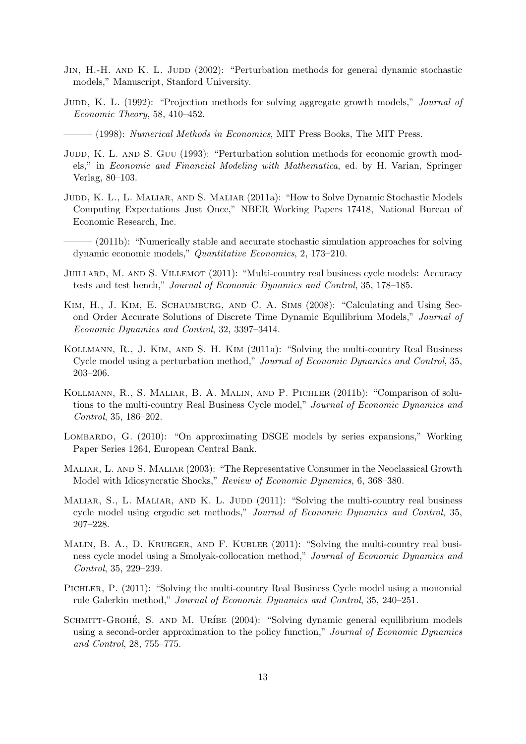- <span id="page-13-4"></span>JIN, H.-H. AND K. L. JUDD (2002): "Perturbation methods for general dynamic stochastic models," Manuscript, Stanford University.
- <span id="page-13-2"></span>JUDD, K. L. (1992): "Projection methods for solving aggregate growth models," *Journal of* Economic Theory, 58, 410–452.
- <span id="page-13-3"></span> $-$  (1998): Numerical Methods in Economics, MIT Press Books, The MIT Press.
- <span id="page-13-1"></span>JUDD, K. L. AND S. GUU (1993): "Perturbation solution methods for economic growth models," in Economic and Financial Modeling with Mathematica, ed. by H. Varian, Springer Verlag, 80–103.
- <span id="page-13-14"></span>JUDD, K. L., L. MALIAR, AND S. MALIAR (2011a): "How to Solve Dynamic Stochastic Models Computing Expectations Just Once," NBER Working Papers 17418, National Bureau of Economic Research, Inc.
- <span id="page-13-15"></span> $(2011b)$ : "Numerically stable and accurate stochastic simulation approaches for solving dynamic economic models," Quantitative Economics, 2, 173–210.
- <span id="page-13-10"></span>JUILLARD, M. AND S. VILLEMOT (2011): "Multi-country real business cycle models: Accuracy tests and test bench," Journal of Economic Dynamics and Control, 35, 178–185.
- <span id="page-13-11"></span>Kim, H., J. Kim, E. Schaumburg, and C. A. Sims (2008): "Calculating and Using Second Order Accurate Solutions of Discrete Time Dynamic Equilibrium Models," Journal of Economic Dynamics and Control, 32, 3397–3414.
- <span id="page-13-6"></span>Kollmann, R., J. Kim, and S. H. Kim (2011a): "Solving the multi-country Real Business Cycle model using a perturbation method," Journal of Economic Dynamics and Control, 35, 203–206.
- <span id="page-13-0"></span>Kollmann, R., S. Maliar, B. A. Malin, and P. Pichler (2011b): "Comparison of solutions to the multi-country Real Business Cycle model," Journal of Economic Dynamics and Control, 35, 186–202.
- <span id="page-13-12"></span>LOMBARDO, G. (2010): "On approximating DSGE models by series expansions," Working Paper Series 1264, European Central Bank.
- <span id="page-13-13"></span>Maliar, L. and S. Maliar (2003): "The Representative Consumer in the Neoclassical Growth Model with Idiosyncratic Shocks," Review of Economic Dynamics, 6, 368–380.
- <span id="page-13-7"></span>MALIAR, S., L. MALIAR, AND K. L. JUDD  $(2011)$ : "Solving the multi-country real business cycle model using ergodic set methods," Journal of Economic Dynamics and Control, 35, 207–228.
- <span id="page-13-8"></span>MALIN, B. A., D. KRUEGER, AND F. KUBLER (2011): "Solving the multi-country real business cycle model using a Smolyak-collocation method," Journal of Economic Dynamics and Control, 35, 229–239.
- <span id="page-13-9"></span>Pichler, P. (2011): "Solving the multi-country Real Business Cycle model using a monomial rule Galerkin method," Journal of Economic Dynamics and Control, 35, 240–251.
- <span id="page-13-5"></span>SCHMITT-GROHÉ, S. AND M. URÍBE (2004): "Solving dynamic general equilibrium models using a second-order approximation to the policy function," Journal of Economic Dynamics and Control, 28, 755–775.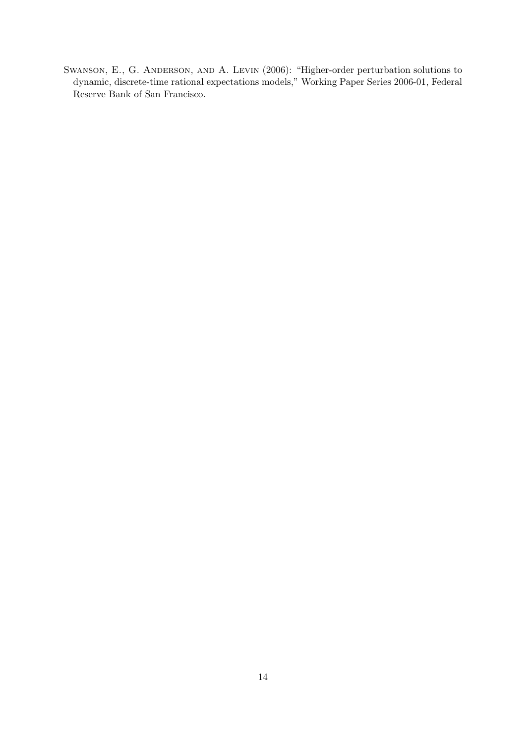<span id="page-14-0"></span>Swanson, E., G. Anderson, and A. Levin (2006): "Higher-order perturbation solutions to dynamic, discrete-time rational expectations models," Working Paper Series 2006-01, Federal Reserve Bank of San Francisco.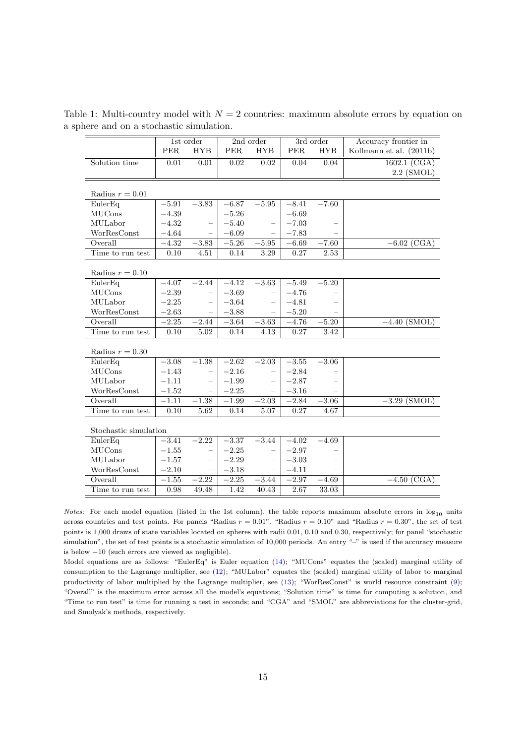<span id="page-15-0"></span>

| 1st order<br>2nd order<br>3rd order<br>Accuracy frontier in<br>PER<br><b>HYB</b><br><b>HYB</b><br>PER<br><b>HYB</b><br>Kollmann et al. (2011b)<br><b>PER</b><br>Solution time<br>0.01<br>0.01<br>0.02<br>0.02<br>0.04<br>0.04<br>1602.1 (CGA)<br>$2.2$ (SMOL)<br>Radius $r = 0.01$<br>EulerEq<br>$-5.91$<br>$-3.83$<br>$-6.87$<br>$-5.95$<br>$-8.41$<br>$-7.60$<br>MUCons<br>$-4.39$<br>$-6.69$<br>$-5.26$<br>MULabor<br>$-4.32$<br>$-5.40$<br>$-7.03$<br>WorResConst<br>$-4.64$<br>$-6.09$<br>$-7.83$<br>Overall<br>$-4.32$<br>$-5.26$<br>$-3.83$<br>$-5.95$<br>$-6.69$<br>$-7.60$<br>$-6.02$ (CGA)<br>Time to run test<br>0.27<br>0.10<br>4.51<br>0.14<br>3.29<br>2.53 |  |  |  |  |  |  |  |  |  |  |  |
|--------------------------------------------------------------------------------------------------------------------------------------------------------------------------------------------------------------------------------------------------------------------------------------------------------------------------------------------------------------------------------------------------------------------------------------------------------------------------------------------------------------------------------------------------------------------------------------------------------------------------------------------------------------------------|--|--|--|--|--|--|--|--|--|--|--|
|                                                                                                                                                                                                                                                                                                                                                                                                                                                                                                                                                                                                                                                                          |  |  |  |  |  |  |  |  |  |  |  |
|                                                                                                                                                                                                                                                                                                                                                                                                                                                                                                                                                                                                                                                                          |  |  |  |  |  |  |  |  |  |  |  |
|                                                                                                                                                                                                                                                                                                                                                                                                                                                                                                                                                                                                                                                                          |  |  |  |  |  |  |  |  |  |  |  |
|                                                                                                                                                                                                                                                                                                                                                                                                                                                                                                                                                                                                                                                                          |  |  |  |  |  |  |  |  |  |  |  |
|                                                                                                                                                                                                                                                                                                                                                                                                                                                                                                                                                                                                                                                                          |  |  |  |  |  |  |  |  |  |  |  |
|                                                                                                                                                                                                                                                                                                                                                                                                                                                                                                                                                                                                                                                                          |  |  |  |  |  |  |  |  |  |  |  |
|                                                                                                                                                                                                                                                                                                                                                                                                                                                                                                                                                                                                                                                                          |  |  |  |  |  |  |  |  |  |  |  |
|                                                                                                                                                                                                                                                                                                                                                                                                                                                                                                                                                                                                                                                                          |  |  |  |  |  |  |  |  |  |  |  |
|                                                                                                                                                                                                                                                                                                                                                                                                                                                                                                                                                                                                                                                                          |  |  |  |  |  |  |  |  |  |  |  |
|                                                                                                                                                                                                                                                                                                                                                                                                                                                                                                                                                                                                                                                                          |  |  |  |  |  |  |  |  |  |  |  |
|                                                                                                                                                                                                                                                                                                                                                                                                                                                                                                                                                                                                                                                                          |  |  |  |  |  |  |  |  |  |  |  |
|                                                                                                                                                                                                                                                                                                                                                                                                                                                                                                                                                                                                                                                                          |  |  |  |  |  |  |  |  |  |  |  |
|                                                                                                                                                                                                                                                                                                                                                                                                                                                                                                                                                                                                                                                                          |  |  |  |  |  |  |  |  |  |  |  |
| Radius $r = 0.10$                                                                                                                                                                                                                                                                                                                                                                                                                                                                                                                                                                                                                                                        |  |  |  |  |  |  |  |  |  |  |  |
| EulerEq<br>$-5.20$<br>$-4.07$<br>$-2.44$<br>$-4.12$<br>$-3.63$<br>$-5.49$                                                                                                                                                                                                                                                                                                                                                                                                                                                                                                                                                                                                |  |  |  |  |  |  |  |  |  |  |  |
| <b>MUCons</b><br>$-2.39$<br>$-3.69$<br>$-4.76$                                                                                                                                                                                                                                                                                                                                                                                                                                                                                                                                                                                                                           |  |  |  |  |  |  |  |  |  |  |  |
| MULabor<br>$-2.25$<br>$-3.64$<br>$-4.81$                                                                                                                                                                                                                                                                                                                                                                                                                                                                                                                                                                                                                                 |  |  |  |  |  |  |  |  |  |  |  |
| WorResConst<br>$-2.63$<br>$-5.20$<br>$-3.88$                                                                                                                                                                                                                                                                                                                                                                                                                                                                                                                                                                                                                             |  |  |  |  |  |  |  |  |  |  |  |
| Overall<br>$-2.25$<br>$-2.44$<br>$-3.64$<br>$-3.63$<br>$-4.76$<br>$-5.20$<br>$-4.40$ (SMOL)                                                                                                                                                                                                                                                                                                                                                                                                                                                                                                                                                                              |  |  |  |  |  |  |  |  |  |  |  |
| Time to run test<br>0.10<br>0.14<br>0.27<br>$\overline{3.42}$<br>5.02<br>4.13                                                                                                                                                                                                                                                                                                                                                                                                                                                                                                                                                                                            |  |  |  |  |  |  |  |  |  |  |  |
|                                                                                                                                                                                                                                                                                                                                                                                                                                                                                                                                                                                                                                                                          |  |  |  |  |  |  |  |  |  |  |  |
| Radius $r = 0.30$                                                                                                                                                                                                                                                                                                                                                                                                                                                                                                                                                                                                                                                        |  |  |  |  |  |  |  |  |  |  |  |
| EulerEq<br>$-3.08$<br>$-1.38$<br>$-2.62$<br>$-2.03$<br>$-3.55$<br>$-3.06$                                                                                                                                                                                                                                                                                                                                                                                                                                                                                                                                                                                                |  |  |  |  |  |  |  |  |  |  |  |
| <b>MUCons</b><br>$-1.43$<br>$-2.16$<br>$-2.84$<br>L,<br>$\overline{\phantom{0}}$                                                                                                                                                                                                                                                                                                                                                                                                                                                                                                                                                                                         |  |  |  |  |  |  |  |  |  |  |  |
| MULabor<br>$-1.11$<br>$-2.87$<br>$-1.99$<br>$\overline{\phantom{0}}$                                                                                                                                                                                                                                                                                                                                                                                                                                                                                                                                                                                                     |  |  |  |  |  |  |  |  |  |  |  |
| WorResConst<br>$-1.52$<br>$-2.25$<br>$-3.16$                                                                                                                                                                                                                                                                                                                                                                                                                                                                                                                                                                                                                             |  |  |  |  |  |  |  |  |  |  |  |
| Overall<br>$-1.11$<br>$-1.38$<br>$-2.84$<br>$-1.99$<br>$-2.03$<br>$-3.06$<br>$-3.29$ (SMOL)                                                                                                                                                                                                                                                                                                                                                                                                                                                                                                                                                                              |  |  |  |  |  |  |  |  |  |  |  |
| Time to run test<br>0.10<br>5.62<br>0.14<br>0.27<br>5.07<br>4.67                                                                                                                                                                                                                                                                                                                                                                                                                                                                                                                                                                                                         |  |  |  |  |  |  |  |  |  |  |  |
|                                                                                                                                                                                                                                                                                                                                                                                                                                                                                                                                                                                                                                                                          |  |  |  |  |  |  |  |  |  |  |  |
| Stochastic simulation                                                                                                                                                                                                                                                                                                                                                                                                                                                                                                                                                                                                                                                    |  |  |  |  |  |  |  |  |  |  |  |
| EulerEq<br>$-3.41$<br>$-2.22$<br>$-3.44$<br>$-3.37$<br>$-4.02$<br>$-4.69$                                                                                                                                                                                                                                                                                                                                                                                                                                                                                                                                                                                                |  |  |  |  |  |  |  |  |  |  |  |
| MUCons<br>$-1.55$<br>$-2.25$<br>$-2.97$<br>$\overline{\phantom{0}}$<br>$\overline{\phantom{0}}$                                                                                                                                                                                                                                                                                                                                                                                                                                                                                                                                                                          |  |  |  |  |  |  |  |  |  |  |  |
| MULabor<br>$-1.57$<br>$-3.03$<br>$-2.29$<br>$\overline{\phantom{0}}$                                                                                                                                                                                                                                                                                                                                                                                                                                                                                                                                                                                                     |  |  |  |  |  |  |  |  |  |  |  |
| WorResConst<br>$-2.10$<br>$-3.18$<br>$-4.11$                                                                                                                                                                                                                                                                                                                                                                                                                                                                                                                                                                                                                             |  |  |  |  |  |  |  |  |  |  |  |
| Overall<br>$-1.55$<br>$-2.22$<br>$-2.25$<br>$-3.44$<br>$-2.97$<br>$-4.69$<br>$-4.50$ (CGA)                                                                                                                                                                                                                                                                                                                                                                                                                                                                                                                                                                               |  |  |  |  |  |  |  |  |  |  |  |
| 1.42<br>2.67<br>33.03<br>Time to run test<br>0.98<br>49.48<br>40.43                                                                                                                                                                                                                                                                                                                                                                                                                                                                                                                                                                                                      |  |  |  |  |  |  |  |  |  |  |  |

Table 1: Multi-country model with  $N = 2$  countries: maximum absolute errors by equation on a sphere and on a stochastic simulation.

*Notes:* For each model equation (listed in the 1st column), the table reports maximum absolute errors in  $log_{10}$  units across countries and test points. For panels "Radius  $r = 0.01$ ", "Radius  $r = 0.10$ " and "Radius  $r = 0.30$ ", the set of test points is 1,000 draws of state variables located on spheres with radii 0.01, 0.10 and 0.30, respectively; for panel "stochastic simulation", the set of test points is a stochastic simulation of 10,000 periods. An entry "–" is used if the accuracy measure is below −10 (such errors are viewed as negligible).

Model equations are as follows: "EulerEq" is Euler equation [\(14\)](#page-7-5); "MUCons" equates the (scaled) marginal utility of consumption to the Lagrange multiplier, see [\(12\)](#page-7-4); "MULabor" equates the (scaled) marginal utility of labor to marginal productivity of labor multiplied by the Lagrange multiplier, see [\(13\)](#page-7-6); "WorResConst" is world resource constraint [\(9\)](#page-7-2); "Overall" is the maximum error across all the model's equations; "Solution time" is time for computing a solution, and "Time to run test" is time for running a test in seconds; and "CGA" and "SMOL" are abbreviations for the cluster-grid, and Smolyak's methods, respectively.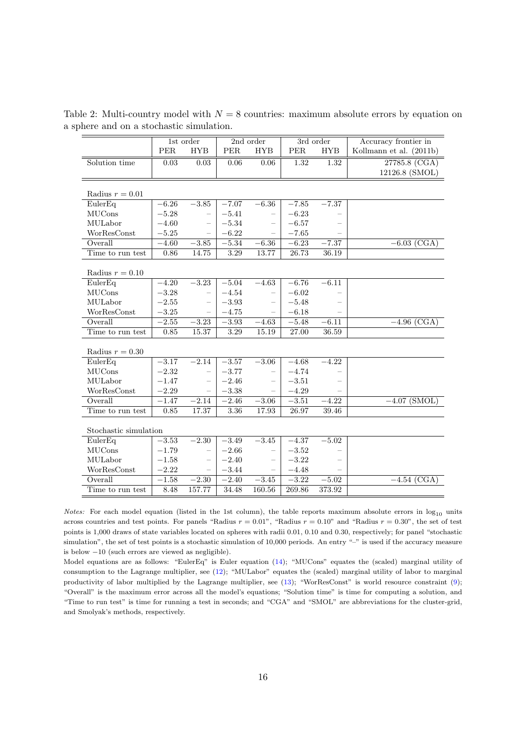<span id="page-16-0"></span>

|                       | $1st$ order |                          | 2nd order  |                          |            | 3rd order  | Accuracy frontier in    |  |  |  |  |  |
|-----------------------|-------------|--------------------------|------------|--------------------------|------------|------------|-------------------------|--|--|--|--|--|
|                       | <b>PER</b>  | <b>HYB</b>               | <b>PER</b> | <b>HYB</b>               | <b>PER</b> | <b>HYB</b> | Kollmann et al. (2011b) |  |  |  |  |  |
| Solution time         | $0.03\,$    | 0.03                     | 0.06       | $0.06\,$                 | 1.32       | 1.32       | 27785.8 (CGA)           |  |  |  |  |  |
|                       |             |                          |            |                          |            |            | 12126.8 (SMOL)          |  |  |  |  |  |
|                       |             |                          |            |                          |            |            |                         |  |  |  |  |  |
| Radius $r = 0.01$     |             |                          |            |                          |            |            |                         |  |  |  |  |  |
| EulerEq               | $-6.26$     | $-3.85$                  | $-7.07$    | $-6.36$                  | $-7.85$    | $-7.37$    |                         |  |  |  |  |  |
| <b>MUCons</b>         | $-5.28$     | $\overline{\phantom{m}}$ | $-5.41$    |                          | $-6.23$    |            |                         |  |  |  |  |  |
| MULabor               | $-4.60$     | $\overline{\phantom{0}}$ | $-5.34$    |                          | $-6.57$    |            |                         |  |  |  |  |  |
| WorResConst           | $-5.25$     |                          | $-6.22$    |                          | $-7.65$    |            |                         |  |  |  |  |  |
| Overall               | $-4.60$     | $-3.85$                  | $-5.34$    | $-6.36$                  | $-6.23$    | $-7.37$    | $-6.03$ (CGA)           |  |  |  |  |  |
| Time to run test      | 0.86        | 14.75                    | 3.29       | 13.77                    | 26.73      | 36.19      |                         |  |  |  |  |  |
|                       |             |                          |            |                          |            |            |                         |  |  |  |  |  |
| Radius $r = 0.10$     |             |                          |            |                          |            |            |                         |  |  |  |  |  |
| EulerEq               | $-4.20$     | $-3.23$                  | $-5.04$    | $-4.63$                  | $-6.76$    | $-6.11$    |                         |  |  |  |  |  |
| <b>MUCons</b>         | $-3.28$     | $\overline{\phantom{0}}$ | $-4.54$    |                          | $-6.02$    |            |                         |  |  |  |  |  |
| MULabor               | $-2.55$     | $\overline{\phantom{0}}$ | $-3.93$    | $\overline{\phantom{0}}$ | $-5.48$    |            |                         |  |  |  |  |  |
| WorResConst           | $-3.25$     | $\overline{\phantom{m}}$ | $-4.75$    |                          | $-6.18$    |            |                         |  |  |  |  |  |
| Overall               | $-2.55$     | $-3.23$                  | $-3.93$    | $-4.63$                  | $-5.48$    | $-6.11$    | $-4.96$ (CGA)           |  |  |  |  |  |
| Time to run test      | 0.85        | 15.37                    | 3.29       | 15.19                    | 27.00      | 36.59      |                         |  |  |  |  |  |
|                       |             |                          |            |                          |            |            |                         |  |  |  |  |  |
| Radius $r = 0.30$     |             |                          |            |                          |            |            |                         |  |  |  |  |  |
| EulerEq               | $-3.17$     | $-2.14$                  | $-3.57$    | $-3.06$                  | $-4.68$    | $-4.22$    |                         |  |  |  |  |  |
| <b>MUCons</b>         | $-2.32$     | $\equiv$                 | $-3.77$    | $\qquad \qquad -$        | $-4.74$    |            |                         |  |  |  |  |  |
| MULabor               | $-1.47\,$   | $\overline{\phantom{0}}$ | $-2.46$    | $\overline{\phantom{0}}$ | $-3.51$    |            |                         |  |  |  |  |  |
| WorResConst           | $-2.29$     |                          | $-3.38$    |                          | $-4.29$    |            |                         |  |  |  |  |  |
| Overall               | $-1.47$     | $-2.14$                  | $-2.46$    | $-3.06$                  | $-3.51$    | $-4.22$    | $-4.07$ (SMOL)          |  |  |  |  |  |
| Time to run test      | 0.85        | 17.37                    | 3.36       | 17.93                    | 26.97      | 39.46      |                         |  |  |  |  |  |
|                       |             |                          |            |                          |            |            |                         |  |  |  |  |  |
| Stochastic simulation |             |                          |            |                          |            |            |                         |  |  |  |  |  |
| EulerEq               | $-3.53$     | $-2.30$                  | $-3.49$    | $-3.45$                  | $-4.37$    | $-5.02$    |                         |  |  |  |  |  |
| <b>MUCons</b>         | $-1.79$     | $\overline{\phantom{0}}$ | $-2.66$    | $\overline{\phantom{0}}$ | $-3.52$    |            |                         |  |  |  |  |  |
| MULabor               | $-1.58$     |                          | $-2.40$    | $\overline{\phantom{0}}$ | $-3.22$    |            |                         |  |  |  |  |  |
| WorResConst           | $-2.22$     |                          | $-3.44\,$  |                          | $-4.48$    |            |                         |  |  |  |  |  |
| Overall               | $-1.58$     | $-2.30$                  | $-2.40$    | $-3.45$                  | $-3.22$    | $-5.02$    | $-4.54$ (CGA)           |  |  |  |  |  |
| Time to run test      | 8.48        | 157.77                   | 34.48      | 160.56                   | 269.86     | 373.92     |                         |  |  |  |  |  |

Table 2: Multi-country model with  $N = 8$  countries: maximum absolute errors by equation on a sphere and on a stochastic simulation.

*Notes:* For each model equation (listed in the 1st column), the table reports maximum absolute errors in  $log_{10}$  units across countries and test points. For panels "Radius  $r = 0.01$ ", "Radius  $r = 0.10$ " and "Radius  $r = 0.30$ ", the set of test points is 1,000 draws of state variables located on spheres with radii 0.01, 0.10 and 0.30, respectively; for panel "stochastic simulation", the set of test points is a stochastic simulation of 10,000 periods. An entry "–" is used if the accuracy measure is below −10 (such errors are viewed as negligible).

Model equations are as follows: "EulerEq" is Euler equation [\(14\)](#page-7-5); "MUCons" equates the (scaled) marginal utility of consumption to the Lagrange multiplier, see [\(12\)](#page-7-4); "MULabor" equates the (scaled) marginal utility of labor to marginal productivity of labor multiplied by the Lagrange multiplier, see [\(13\)](#page-7-6); "WorResConst" is world resource constraint [\(9\)](#page-7-2); "Overall" is the maximum error across all the model's equations; "Solution time" is time for computing a solution, and "Time to run test" is time for running a test in seconds; and "CGA" and "SMOL" are abbreviations for the cluster-grid, and Smolyak's methods, respectively.